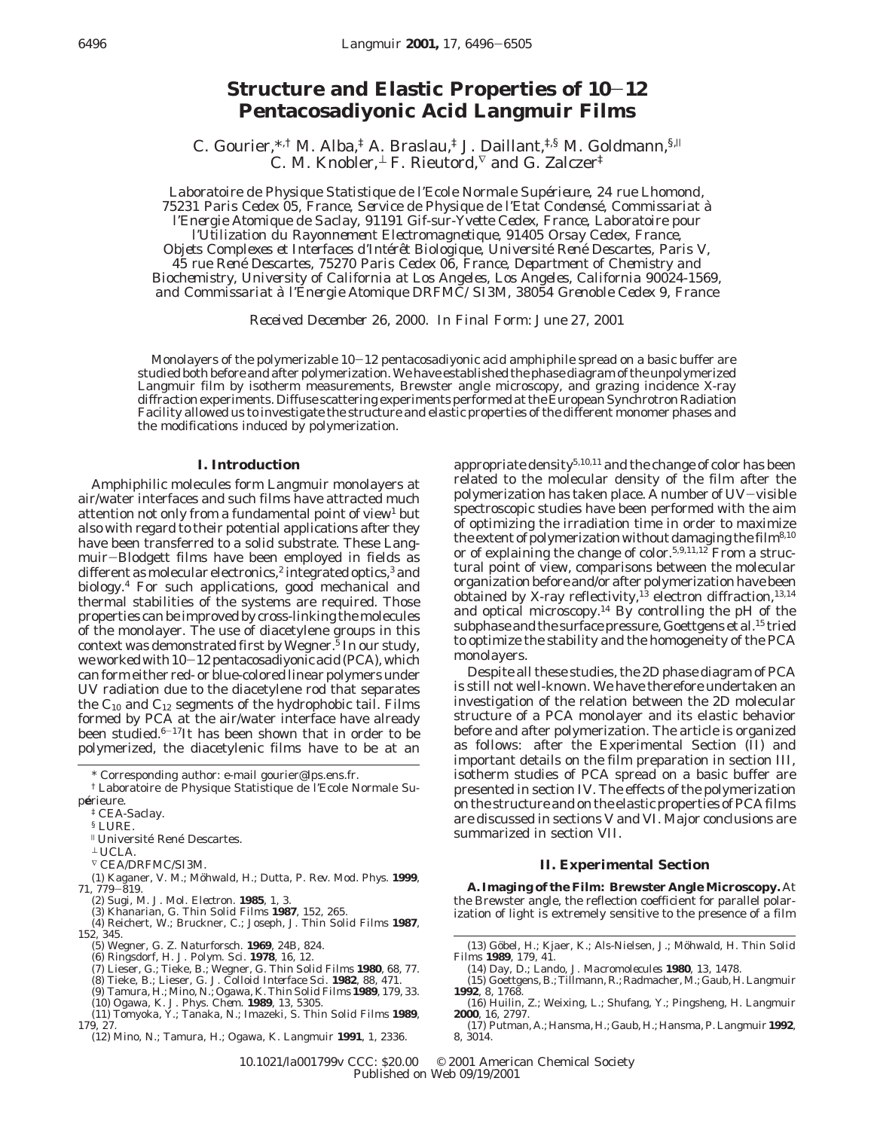# **Structure and Elastic Properties of 10**-**<sup>12</sup> Pentacosadiyonic Acid Langmuir Films**

C. Gourier,  $*$ ,† M. Alba,‡ A. Braslau,‡ J. Daillant, $*$ ,§ M. Goldmann, §, C. M. Knobler,  $\perp$  F. Rieutord,  $\nabla$  and G. Zalczer<sup>‡</sup>

*Laboratoire de Physique Statistique de l'Ecole Normale Supe*´*rieure, 24 rue Lhomond, 75231 Paris Cedex 05, France, Service de Physique de l'Etat Condense*´*, Commissariat a*` *l'Energie Atomique de Saclay, 91191 Gif-sur-Yvette Cedex, France, Laboratoire pour l'Utilization du Rayonnement Electromagnetique, 91405 Orsay Cedex, France, Objets Complexes et Interfaces d'Inte*´*re*ˆ*t Biologique, Universite*´ *Rene*´ *Descartes, Paris V, 45 rue Rene*´ *Descartes, 75270 Paris Cedex 06, France, Department of Chemistry and Biochemistry, University of California at Los Angeles, Los Angeles, California 90024-1569, and Commissariat a*` *l'Energie Atomique DRFMC/SI3M, 38054 Grenoble Cedex 9, France*

*Received December 26, 2000. In Final Form: June 27, 2001*

Monolayers of the polymerizable 10-12 pentacosadiyonic acid amphiphile spread on a basic buffer are studied both before and after polymerization. We have established the phase diagram of the unpolymerized Langmuir film by isotherm measurements, Brewster angle microscopy, and grazing incidence X-ray diffraction experiments. Diffuse scattering experiments performed at the European Synchrotron Radiation Facility allowed us to investigate the structure and elastic properties of the different monomer phases and the modifications induced by polymerization.

### **I. Introduction**

Amphiphilic molecules form Langmuir monolayers at air/water interfaces and such films have attracted much attention not only from a fundamental point of view<sup>1</sup> but also with regard to their potential applications after they have been transferred to a solid substrate. These Langmuir-Blodgett films have been employed in fields as different as molecular electronics,<sup>2</sup> integrated optics,<sup>3</sup> and biology.4 For such applications, good mechanical and thermal stabilities of the systems are required. Those properties can be improved by cross-linking the molecules of the monolayer. The use of diacetylene groups in this context was demonstrated first by Wegner.<sup>5</sup> In our study, we worked with 10-12 pentacosadiyonic acid (PCA), which can form either red- or blue-colored linear polymers under UV radiation due to the diacetylene rod that separates the  $C_{10}$  and  $C_{12}$  segments of the hydrophobic tail. Films formed by PCA at the air/water interface have already been studied. $6-17$ It has been shown that in order to be polymerized, the diacetylenic films have to be at an

§ LURE.

- $^\perp$  UCLA.
- $\ulcorner$  CEA/DRFMC/SI3M.
- (1) Kaganer, V. M.; Möhwald, H.; Dutta, P. *Rev. Mod. Phys.* 1999, *<sup>71</sup>*, 779-819.
- (2) Sugi, M. *J. Mol. Electron.* **1985**, *1*, 3.
- 
- (3) Khanarian, G. *Thin Solid Films* **1987**, *152*, 265. (4) Reichert, W.; Bruckner, C.; Joseph, J. *Thin Solid Films* **1987**, *152*, 345.
	-
	-
	- (5) Wegner, G. *Z. Naturforsch.* **1969**, *24B*, 824.<br>(6) Ringsdorf, H. *J. Polym. Sci.* **1978**, *16*, 12.<br>(7) Lieser, G.; Tieke, B.; Wegner, G. *Thin Solid Films* **1980**, *68*, 77.
	-
	- (8) Tieke, B.; Lieser, G. *J. Colloid Interface Sci.* **1982**, *88*, 471. (9) Tamura, H.; Mino, N.; Ogawa, K. *Thin Solid Films* **1989**, *179*, 33.
	-
- (10) Ogawa, K. *J. Phys. Chem.* **1989**, *13*, 5305. (11) Tomyoka, Y.; Tanaka, N.; Imazeki, S. *Thin Solid Films* **1989**, *179*, 27.
	- (12) Mino, N.; Tamura, H.; Ogawa, K. *Langmuir* **1991**, *1*, 2336.

appropriate density<sup>5,10,11</sup> and the change of color has been related to the molecular density of the film after the polymerization has taken place. A number of UV-visible spectroscopic studies have been performed with the aim of optimizing the irradiation time in order to maximize the extent of polymerization without damaging the film<sup>8,10</sup> or of explaining the change of color.<sup>5,9,11,12</sup> From a structural point of view, comparisons between the molecular organization before and/or after polymerization have been obtained by X-ray reflectivity,<sup>13</sup> electron diffraction,<sup>13,14</sup> and optical microscopy.14 By controlling the pH of the subphase and the surface pressure, Goettgens et al.<sup>15</sup> tried to optimize the stability and the homogeneity of the PCA monolayers.

Despite all these studies, the 2D phase diagram of PCA is still not well-known. We have therefore undertaken an investigation of the relation between the 2D molecular structure of a PCA monolayer and its elastic behavior before and after polymerization. The article is organized as follows: after the Experimental Section (II) and important details on the film preparation in section III, isotherm studies of PCA spread on a basic buffer are presented in section IV. The effects of the polymerization on the structure and on the elastic properties of PCA films are discussed in sections V and VI. Major conclusions are summarized in section VII.

### **II. Experimental Section**

**A. Imaging of the Film: Brewster Angle Microscopy.** At the Brewster angle, the reflection coefficient for parallel polarization of light is extremely sensitive to the presence of a film

- (13) Göbel, H.; Kjaer, K.; Als-Nielsen, J.; Möhwald, H. *Thin Solid Films* **1989**, *179*, 41.
	- (14) Day, D.; Lando, J. *Macromolecules* **1980**, *13*, 1478.
- (15) Goettgens, B.; Tillmann, R.; Radmacher, M.; Gaub, H.*Langmuir* **1992**, *8*, 1768.
- (16) Huilin, Z.; Weixing, L.; Shufang, Y.; Pingsheng, H. *Langmuir* **2000**, *16*, 2797.
- (17) Putman, A.; Hansma, H.; Gaub, H.; Hansma, P.*Langmuir* **1992**, *8*, 3014.

10.1021/la001799v CCC: \$20.00 © 2001 American Chemical Society Published on Web 09/19/2001

<sup>\*</sup> Corresponding author: e-mail gourier@lps.ens.fr.

<sup>†</sup> Laboratoire de Physique Statistique de l'Ecole Normale Supérieure.

<sup>‡</sup> CEA-Saclay.

<sup>&</sup>lt;sup>II</sup> Université René Descartes.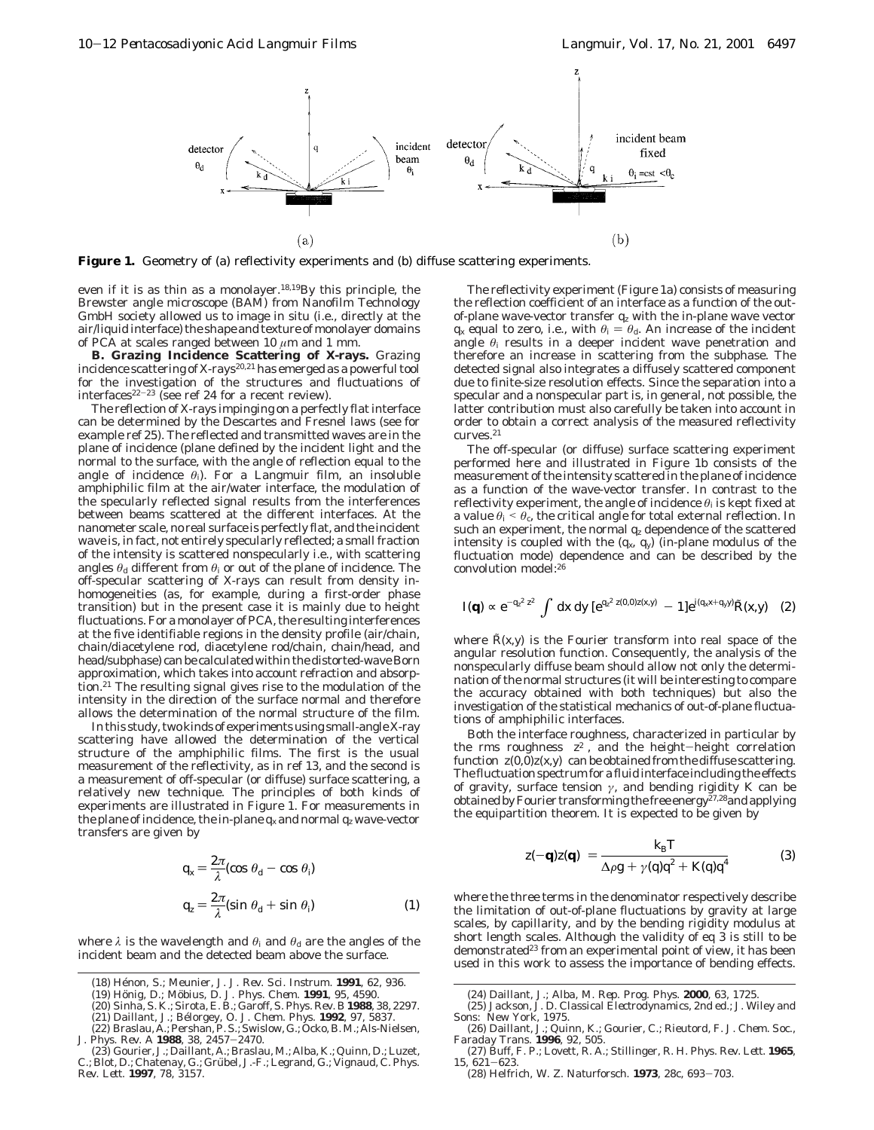

Figure 1. Geometry of (a) reflectivity experiments and (b) diffuse scattering experiments.

even if it is as thin as a monolayer.18,19By this principle, the Brewster angle microscope (BAM) from Nanofilm Technology GmbH society allowed us to image in situ (i.e., directly at the air/liquid interface) the shape and texture of monolayer domains of PCA at scales ranged between 10 *µ*m and 1 mm.

**B. Grazing Incidence Scattering of X-rays.** Grazing incidence scattering of X-rays<sup>20,21</sup> has emerged as a powerful tool for the investigation of the structures and fluctuations of interfaces<sup>22-23</sup> (see ref 24 for a recent review).

The reflection of X-rays impinging on a perfectly flat interface can be determined by the Descartes and Fresnel laws (see for example ref 25). The reflected and transmitted waves are in the plane of incidence (plane defined by the incident light and the normal to the surface, with the angle of reflection equal to the angle of incidence  $\theta_i$ ). For a Langmuir film, an insoluble amphiphilic film at the air/water interface, the modulation of the specularly reflected signal results from the interferences between beams scattered at the different interfaces. At the nanometer scale, no real surface is perfectly flat, and the incident wave is, in fact, not entirely specularly reflected; a small fraction of the intensity is scattered nonspecularly i.e., with scattering angles  $\theta_d$  different from  $\theta_i$  or out of the plane of incidence. The off-specular scattering of X-rays can result from density inhomogeneities (as, for example, during a first-order phase transition) but in the present case it is mainly due to height fluctuations. For a monolayer of PCA, the resulting interferences at the five identifiable regions in the density profile (air/chain, chain/diacetylene rod, diacetylene rod/chain, chain/head, and head/subphase) can be calculated within the distorted-wave Born approximation, which takes into account refraction and absorption.21 The resulting signal gives rise to the modulation of the intensity in the direction of the surface normal and therefore allows the determination of the normal structure of the film.

In this study, two kinds of experiments using small-angle X-ray scattering have allowed the determination of the vertical structure of the amphiphilic films. The first is the usual measurement of the reflectivity, as in ref 13, and the second is a measurement of off-specular (or diffuse) surface scattering, a relatively new technique. The principles of both kinds of experiments are illustrated in Figure 1. For measurements in the plane of incidence, the in-plane  $q_x$  and normal  $q_z$  wave-vector transfers are given by

$$
q_x = \frac{2\pi}{\lambda} (\cos \theta_d - \cos \theta_i)
$$
  

$$
q_z = \frac{2\pi}{\lambda} (\sin \theta_d + \sin \theta_i)
$$
 (1)

where  $\lambda$  is the wavelength and  $\theta_i$  and  $\theta_d$  are the angles of the incident beam and the detected beam above the surface.

- (19) Ho¨nig, D.; Mo¨bius, D. *J. Phys. Chem.* **1991**, *95*, 4590.
- (20) Sinha, S. K.; Sirota, E. B.; Garoff, S. *Phys. Rev. B* **1988**, *38*, 2297.

The reflectivity experiment (Figure 1a) consists of measuring the reflection coefficient of an interface as a function of the outof-plane wave-vector transfer *qz* with the in-plane wave vector *q<sub>x</sub>* equal to zero, i.e., with  $\theta_i = \theta_d$ . An increase of the incident angle  $\theta_i$  results in a deeper incident wave penetration and therefore an increase in scattering from the subphase. The detected signal also integrates a diffusely scattered component due to finite-size resolution effects. Since the separation into a specular and a nonspecular part is, in general, not possible, the latter contribution must also carefully be taken into account in order to obtain a correct analysis of the measured reflectivity  $\textrm{curves.}^{21}$ 

The off-specular (or diffuse) surface scattering experiment performed here and illustrated in Figure 1b consists of the measurement of the intensity scattered in the plane of incidence as a function of the wave-vector transfer. In contrast to the reflectivity experiment, the angle of incidence *θ*<sup>i</sup> is kept fixed at a value  $\theta_i \leq \theta_c$ , the critical angle for total external reflection. In such an experiment, the normal  $q_z$  dependence of the scattered intensity is coupled with the  $(q_x, q_y)$  (in-plane modulus of the fluctuation mode) dependence and can be described by the convolution model:26

$$
I(\mathbf{q}) \propto e^{-q_z^2 \langle z^2 \rangle} \int \mathrm{d}x \, \mathrm{d}y \, [e^{q_z^2 \langle z(0,0)z(x,y) \rangle} - 1] e^{i(q_x x + q_y y)} \tilde{R}(x,y) \quad (2)
$$

where  $\hat{R}(x, y)$  is the Fourier transform into real space of the angular resolution function. Consequently, the analysis of the nonspecularly diffuse beam should allow not only the determination of the normal structures (it will be interesting to compare the accuracy obtained with both techniques) but also the investigation of the statistical mechanics of out-of-plane fluctuations of amphiphilic interfaces.

Both the interface roughness, characterized in particular by the rms roughness  $\langle z^2 \rangle$ , and the height-height correlation function  $\langle z(0,0)z(x,y)\rangle$  can be obtained from the diffuse scattering. The fluctuation spectrum for a fluid interface including the effects of gravity, surface tension *γ*, and bending rigidity *K* can be obtained by Fourier transforming the free energy<sup> $27,28$ </sup> and applying the equipartition theorem. It is expected to be given by

$$
\langle z(-\mathbf{q})z(\mathbf{q})\rangle = \frac{k_{\rm B}T}{\Delta\rho g + \gamma(q)q^2 + K(q)q^4}
$$
(3)

where the three terms in the denominator respectively describe the limitation of out-of-plane fluctuations by gravity at large scales, by capillarity, and by the bending rigidity modulus at short length scales. Although the validity of eq 3 is still to be demonstrated<sup>23</sup> from an experimental point of view, it has been used in this work to assess the importance of bending effects.

- Sons: New York, 1975. (26) Daillant, J.; Quinn, K.; Gourier, C.; Rieutord, F. *J. Chem. Soc., Faraday Trans.* **1996**, *92*, 505.
- (27) Buff, F. P.; Lovett, R. A.; Stillinger, R. H. *Phys. Rev. Lett.* **1965**,
- *<sup>15</sup>*, 621-623. (28) Helfrich, W. *Z. Naturforsch.* **<sup>1973</sup>**, *28c*, 693-703.

<sup>(18)</sup> He´non, S.; Meunier, J. *J. Rev. Sci. Instrum.* **1991**, *62*, 936.

<sup>(21)</sup> Daillant, J.; Be´lorgey, O. *J. Chem. Phys.* **1992**, *97*, 5837. (22) Braslau, A.; Pershan, P. S.; Swislow, G.; Ocko, B. M.; Als-Nielsen, J. Phys. Rev.  $A$  1988, 38, 2457–2470.

J. *Phys. Rev. A* **<sup>1988</sup>**, *<sup>38</sup>*, 2457-2470. (23) Gourier, J.; Daillant, A.; Braslau, M.; Alba, K.; Quinn, D.; Luzet,

C.; Blot, D.; Chatenay, G.; Grübel, J.-F.; Legrand, G.; Vignaud, C. *Phys.*<br>*Rev. Lett.* **1997**, *78*, 3157.

<sup>(24)</sup> Daillant, J.; Alba, M. *Rep. Prog. Phys.* **2000**, *63*, 1725. (25) Jackson, J. D. *Classical Electrodynamics*, 2nd ed.; J. Wiley and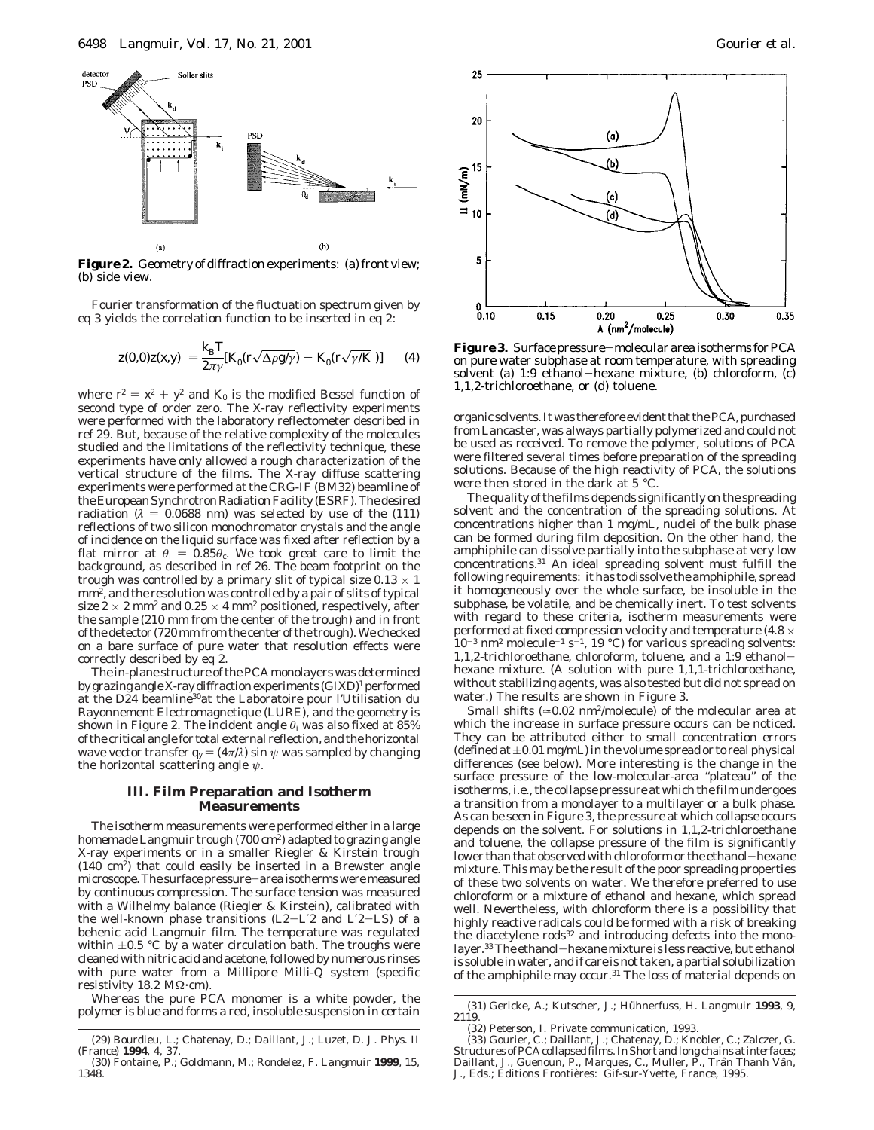

**Figure 2.** Geometry of diffraction experiments: (a) front view; (b) side view.

Fourier transformation of the fluctuation spectrum given by eq 3 yields the correlation function to be inserted in eq 2:

$$
\langle z(0,0)z(x,y)\rangle = \frac{k_{\rm B}T}{2\pi\gamma}[K_0(r\sqrt{\Delta\rho g/\gamma}) - K_0(r\sqrt{\gamma/K})]
$$
 (4)

where  $r^2 = x^2 + y^2$  and  $K_0$  is the modified Bessel function of second type of order zero. The X-ray reflectivity experiments were performed with the laboratory reflectometer described in ref 29. But, because of the relative complexity of the molecules studied and the limitations of the reflectivity technique, these experiments have only allowed a rough characterization of the vertical structure of the films. The X-ray diffuse scattering experiments were performed at the CRG-IF (BM32) beamline of the European Synchrotron Radiation Facility (ESRF). The desired radiation ( $\lambda$  = 0.0688 nm) was selected by use of the (111) reflections of two silicon monochromator crystals and the angle of incidence on the liquid surface was fixed after reflection by a flat mirror at  $\theta_i = 0.85\theta_c$ . We took great care to limit the background, as described in ref 26. The beam footprint on the trough was controlled by a primary slit of typical size  $0.13 \times 1$ mm2, and the resolution was controlled by a pair of slits of typical size  $2 \times 2$  mm<sup>2</sup> and  $0.25 \times 4$  mm<sup>2</sup> positioned, respectively, after the sample (210 mm from the center of the trough) and in front of the detector (720 mm from the center of the trough). We checked on a bare surface of pure water that resolution effects were correctly described by eq 2.

The in-plane structure of the PCA monolayers was determined by grazing angle X-ray diffraction experiments (GIXD)<sup>1</sup> performed at the D24 beamline<sup>30</sup>at the Laboratoire pour l'Utilisation du Rayonnement Electromagnetique (LURE), and the geometry is shown in Figure 2. The incident angle  $\theta_i$  was also fixed at 85% of the critical angle for total external reflection, and the horizontal wave vector transfer  $q_y = (4\pi/\lambda) \sin \psi$  was sampled by changing the horizontal scattering angle *ψ*.

## **III. Film Preparation and Isotherm Measurements**

The isotherm measurements were performed either in a large homemade Langmuir trough (700 cm<sup>2</sup>) adapted to grazing angle X-ray experiments or in a smaller Riegler & Kirstein trough (140 cm2) that could easily be inserted in a Brewster angle microscope. The surface pressure-area isotherms were measured by continuous compression. The surface tension was measured with a Wilhelmy balance (Riegler & Kirstein), calibrated with the well-known phase transitions  $(L2-L'2$  and  $L'2-LS$ ) of a behenic acid Langmuir film. The temperature was regulated within  $\pm 0.5$  °C by a water circulation bath. The troughs were cleaned with nitric acid and acetone, followed by numerous rinses with pure water from a Millipore Milli-Q system (specific resistivity 18.2 MΩ·cm).

Whereas the pure PCA monomer is a white powder, the polymer is blue and forms a red, insoluble suspension in certain



 $\frac{k_{\rm B}T}{2\pi\gamma}[K_0(r\sqrt{\Delta\rho g/\gamma}) - K_0(r\sqrt{\gamma/K})]$  (4) **Figure 3.** Surface pressure–molecular area isotherms for PCA<br>on pure water subphase at room temperature, with spreading<br>solvent (a) 1:0, otherol—beyane mixture, (b) chloro solvent (a) 1:9 ethanol-hexane mixture, (b) chloroform, (c) 1,1,2-trichloroethane, or (d) toluene.

organic solvents. It was therefore evident that the PCA, purchased from Lancaster, was always partially polymerized and could not be used as received. To remove the polymer, solutions of PCA were filtered several times before preparation of the spreading solutions. Because of the high reactivity of PCA, the solutions were then stored in the dark at 5 °C.

The quality of the films depends significantly on the spreading solvent and the concentration of the spreading solutions. At concentrations higher than 1 mg/mL, nuclei of the bulk phase can be formed during film deposition. On the other hand, the amphiphile can dissolve partially into the subphase at very low concentrations.31 An ideal spreading solvent must fulfill the following requirements: it has to dissolve the amphiphile, spread it homogeneously over the whole surface, be insoluble in the subphase, be volatile, and be chemically inert. To test solvents with regard to these criteria, isotherm measurements were performed at fixed compression velocity and temperature (4.8  $\times$  $10^{-3}$  nm<sup>2</sup> molecule<sup>-1</sup> s<sup>-1</sup>, 19 °C) for various spreading solvents: 1,1,2-trichloroethane, chloroform, toluene, and a 1:9 ethanolhexane mixture. (A solution with pure 1,1,1-trichloroethane, without stabilizing agents, was also tested but did not spread on water.) The results are shown in Figure 3.

Small shifts  $(\approx 0.02 \text{ nm}^2/\text{molecule})$  of the molecular area at which the increase in surface pressure occurs can be noticed. They can be attributed either to small concentration errors (defined at  $\pm 0.01$  mg/mL) in the volume spread or to real physical differences (see below). More interesting is the change in the surface pressure of the low-molecular-area "plateau" of the isotherms, i.e., the collapse pressure at which the film undergoes a transition from a monolayer to a multilayer or a bulk phase. As can be seen in Figure 3, the pressure at which collapse occurs depends on the solvent. For solutions in 1,1,2-trichloroethane and toluene, the collapse pressure of the film is significantly lower than that observed with chloroform or the ethanol-hexane mixture. This may be the result of the poor spreading properties of these two solvents on water. We therefore preferred to use chloroform or a mixture of ethanol and hexane, which spread well. Nevertheless, with chloroform there is a possibility that highly reactive radicals could be formed with a risk of breaking the diacetylene rods<sup>32</sup> and introducing defects into the monolayer.33The ethanol-hexane mixture is less reactive, but ethanol is soluble in water, and if care is not taken, a partial solubilization of the amphiphile may occur.31 The loss of material depends on

<sup>(29)</sup> Bourdieu, L.; Chatenay, D.; Daillant, J.; Luzet, D. *J. Phys. II (France)* **1994**, *4*, 37.

<sup>(30)</sup> Fontaine, P.; Goldmann, M.; Rondelez, F. *Langmuir* **1999**, *15*, 1348.

<sup>(31)</sup> Gericke, A.; Kutscher, J.; Hühnerfuss, H. *Langmuir* 1993, 9, 2119.

<sup>(32)</sup> Peterson, I. Private communication, 1993. (33) Gourier, C.; Daillant, J.; Chatenay, D.; Knobler, C.; Zalczer, G. Structures of PCA collapsed films. In*Short and long chains at interfaces*; Daillant, J., Guenoun, P., Marques, C., Muller, P., Trân Thanh Vân,<br>J., Eds.; Editions Frontières: Gif-sur-Yvette, France, 1995.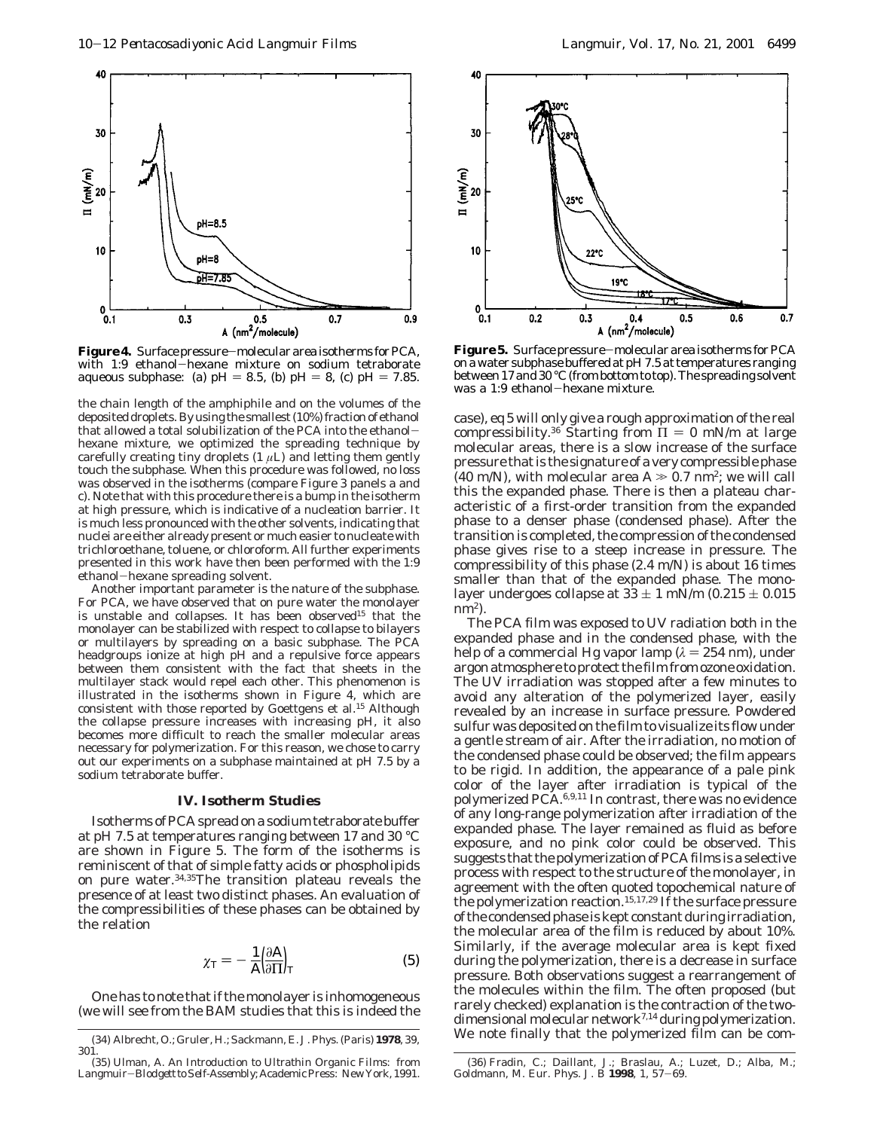

**Figure4.** Surface pressure-molecular area isotherms for PCA, with 1:9 ethanol-hexane mixture on sodium tetraborate aqueous subphase: (a)  $pH = 8.5$ , (b)  $pH = 8$ , (c)  $pH = 7.85$ .

the chain length of the amphiphile and on the volumes of the deposited droplets. By using the smallest (10%) fraction of ethanol that allowed a total solubilization of the PCA into the ethanolhexane mixture, we optimized the spreading technique by carefully creating tiny droplets  $(1 \mu L)$  and letting them gently touch the subphase. When this procedure was followed, no loss was observed in the isotherms (compare Figure 3 panels a and c). Note that with this procedure there is a bump in the isotherm at high pressure, which is indicative of a nucleation barrier. It is much less pronounced with the other solvents, indicating that nuclei are either already present or much easier to nucleate with trichloroethane, toluene, or chloroform. All further experiments presented in this work have then been performed with the 1:9 ethanol-hexane spreading solvent.

Another important parameter is the nature of the subphase. For PCA, we have observed that on pure water the monolayer is unstable and collapses. It has been observed<sup>15</sup> that the monolayer can be stabilized with respect to collapse to bilayers or multilayers by spreading on a basic subphase. The PCA headgroups ionize at high pH and a repulsive force appears between them consistent with the fact that sheets in the multilayer stack would repel each other. This phenomenon is illustrated in the isotherms shown in Figure 4, which are consistent with those reported by Goettgens et al.<sup>15</sup> Although the collapse pressure increases with increasing pH, it also becomes more difficult to reach the smaller molecular areas necessary for polymerization. For this reason, we chose to carry out our experiments on a subphase maintained at pH 7.5 by a sodium tetraborate buffer.

# **IV. Isotherm Studies**

Isotherms of PCA spread on a sodium tetraborate buffer at pH 7.5 at temperatures ranging between 17 and 30 °C are shown in Figure 5. The form of the isotherms is reminiscent of that of simple fatty acids or phospholipids on pure water.34,35The transition plateau reveals the presence of at least two distinct phases. An evaluation of the compressibilities of these phases can be obtained by the relation

$$
\chi_{\rm T} = -\frac{1}{A} \left( \frac{\partial \mathbf{A}}{\partial \Pi} \right)_{\rm T} \tag{5}
$$

One has to note that if the monolayer is inhomogeneous (we will see from the BAM studies that this is indeed the



**Figure 5.** Surface pressure-molecular area isotherms for PCA on a water subphase buffered at pH 7.5 at temperatures ranging between 17 and 30 °C (from bottom to top). The spreading solvent was a 1:9 ethanol-hexane mixture.

case), eq 5 will only give a rough approximation of the real compressibility.<sup>36</sup> Starting from  $\Pi = 0$  mN/m at large molecular areas, there is a slow increase of the surface pressure that is the signature of a very compressible phase (40 m/N), with molecular area  $A \gg 0.7$  nm<sup>2</sup>; we will call this the expanded phase. There is then a plateau characteristic of a first-order transition from the expanded phase to a denser phase (condensed phase). After the transition is completed, the compression of the condensed phase gives rise to a steep increase in pressure. The compressibility of this phase (2.4 m/N) is about 16 times smaller than that of the expanded phase. The monolayer undergoes collapse at  $33 \pm 1$  mN/m (0.215  $\pm$  0.015  $nm^2$ ).

The PCA film was exposed to UV radiation both in the expanded phase and in the condensed phase, with the help of a commercial Hg vapor lamp  $(\lambda = 254 \text{ nm})$ , under argon atmosphere to protect the film from ozone oxidation. The UV irradiation was stopped after a few minutes to avoid any alteration of the polymerized layer, easily revealed by an increase in surface pressure. Powdered sulfur was deposited on the film to visualize its flow under a gentle stream of air. After the irradiation, no motion of the condensed phase could be observed; the film appears to be rigid. In addition, the appearance of a pale pink color of the layer after irradiation is typical of the polymerized PCA.6,9,11 In contrast, there was no evidence of any long-range polymerization after irradiation of the expanded phase. The layer remained as fluid as before exposure, and no pink color could be observed. This suggests that the polymerization of PCA films is a selective process with respect to the structure of the monolayer, in agreement with the often quoted topochemical nature of the polymerization reaction.<sup>15,17,29</sup> If the surface pressure of the condensed phase is kept constant during irradiation, the molecular area of the film is reduced by about 10%. Similarly, if the average molecular area is kept fixed during the polymerization, there is a decrease in surface pressure. Both observations suggest a rearrangement of the molecules within the film. The often proposed (but rarely checked) explanation is the contraction of the twodimensional molecular network<sup>7,14</sup> during polymerization. We note finally that the polymerized film can be com- (34) Albrecht, O.; Gruler, H.; Sackmann, E. *J. Phys. (Paris)* **<sup>1978</sup>**, *<sup>39</sup>*,

<sup>301.</sup>

<sup>(35)</sup> Ulman, A. *An Introduction to Ultrathin Organic Films: from Langmuir*-*Blodgett to Self-Assembly*; Academic Press: New York, 1991.

<sup>(36)</sup> Fradin, C.; Daillant, J.; Braslau, A.; Luzet, D.; Alba, M.; Goldmann, M. *Eur. Phys. J. B* **<sup>1998</sup>**, *<sup>1</sup>*, 57-69.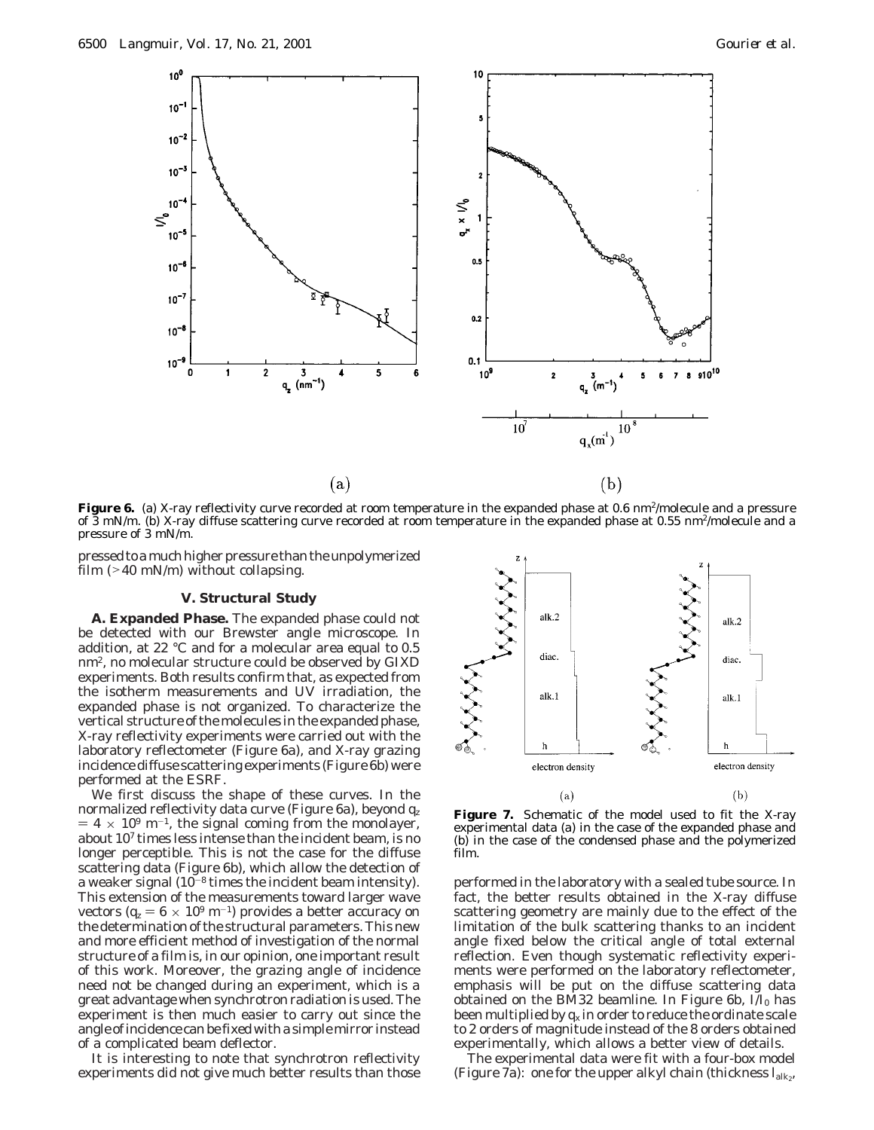

**Figure 6.** (a) X-ray reflectivity curve recorded at room temperature in the expanded phase at 0.6 nm<sup>2</sup>/molecule and a pressure of 3 mN/m. (b) X-ray diffuse scattering curve recorded at room temperature in the expanded phase at 0.55 nm2/molecule and a pressure of 3 mN/m.

pressed to a much higher pressure than the unpolymerized film  $(>40 \text{ mN/m})$  without collapsing.

### **V. Structural Study**

**A. Expanded Phase.** The expanded phase could not be detected with our Brewster angle microscope. In addition, at 22 °C and for a molecular area equal to 0.5 nm2, no molecular structure could be observed by GIXD experiments. Both results confirm that, as expected from the isotherm measurements and UV irradiation, the expanded phase is not organized. To characterize the vertical structure of the molecules in the expanded phase, X-ray reflectivity experiments were carried out with the laboratory reflectometer (Figure 6a), and X-ray grazing incidence diffuse scattering experiments (Figure 6b) were performed at the ESRF.

We first discuss the shape of these curves. In the normalized reflectivity data curve (Figure 6a), beyond *qz*  $= 4 \times 10^{9}$  m<sup>-1</sup>, the signal coming from the monolayer, about 107 times less intense than the incident beam, is no longer perceptible. This is not the case for the diffuse scattering data (Figure 6b), which allow the detection of a weaker signal  $(10^{-8}$  times the incident beam intensity). This extension of the measurements toward larger wave vectors ( $q_z = 6 \times 10^9$  m<sup>-1</sup>) provides a better accuracy on the determination of the structural parameters. This new and more efficient method of investigation of the normal structure of a film is, in our opinion, one important result of this work. Moreover, the grazing angle of incidence need not be changed during an experiment, which is a great advantage when synchrotron radiation is used. The experiment is then much easier to carry out since the angle of incidence can be fixed with a simple mirror instead of a complicated beam deflector.

It is interesting to note that synchrotron reflectivity experiments did not give much better results than those



Figure 7. Schematic of the model used to fit the X-ray experimental data (a) in the case of the expanded phase and (b) in the case of the condensed phase and the polymerized film.

performed in the laboratory with a sealed tube source. In fact, the better results obtained in the X-ray diffuse scattering geometry are mainly due to the effect of the limitation of the bulk scattering thanks to an incident angle fixed below the critical angle of total external reflection. Even though systematic reflectivity experiments were performed on the laboratory reflectometer, emphasis will be put on the diffuse scattering data obtained on the BM32 beamline. In Figure 6b, *I*/*I*<sup>0</sup> has been multiplied by  $q_x$  in order to reduce the ordinate scale to 2 orders of magnitude instead of the 8 orders obtained experimentally, which allows a better view of details.

The experimental data were fit with a four-box model (Figure 7a): one for the upper alkyl chain (thickness  $I_{\text{alk}_2}$ ,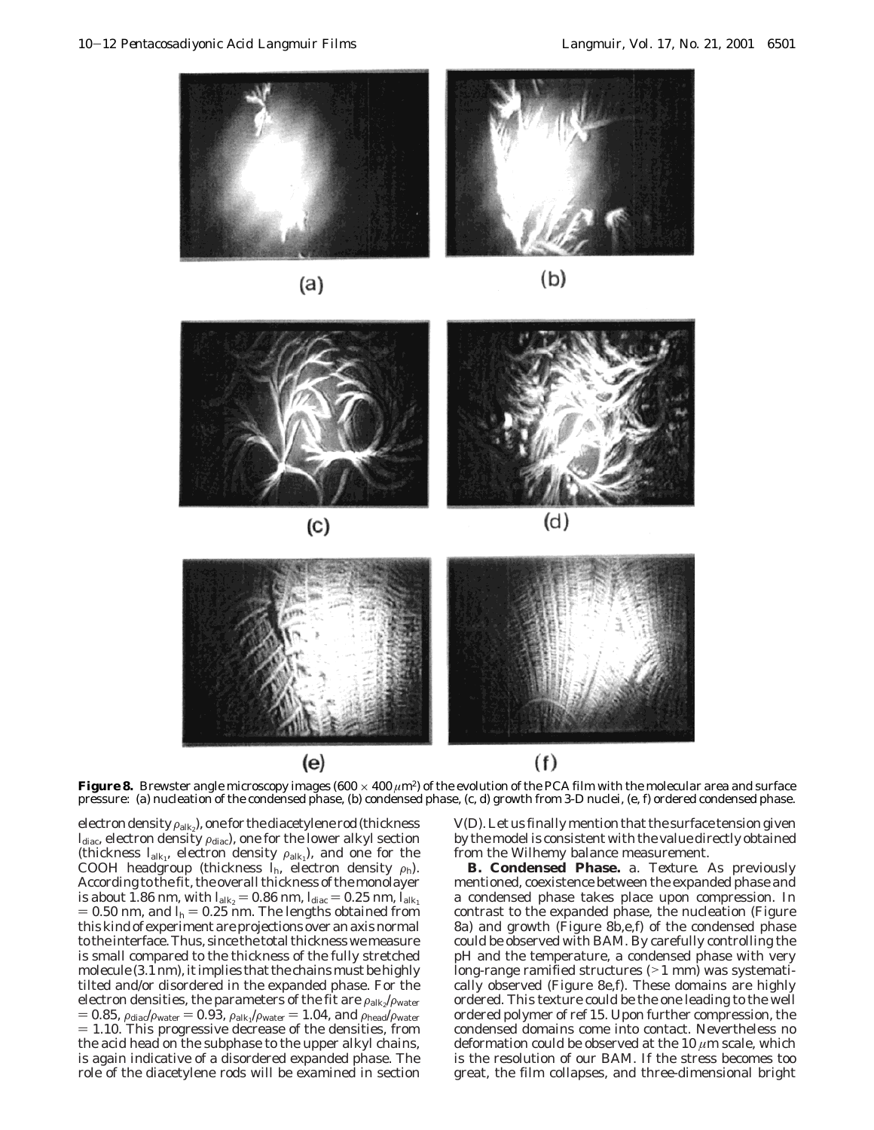





**Figure 8.** Brewster angle microscopy images (600  $\times$  400  $\mu$ m<sup>2</sup>) of the evolution of the PCA film with the molecular area and surface pressure: (a) nucleation of the condensed phase, (b) condensed phase, (c, d) growth from 3-D nuclei, (e, f) ordered condensed phase.

electron density  $\rho_{\text{alk}_2}$ ), one for the diacetylene rod (thickness  $I_{\text{diac}}$ , electron density  $\rho_{\text{diac}}$ ), one for the lower alkyl section (thickness  $I_{\text{alk}_1}$ , electron density  $\rho_{\text{alk}_1}$ ), and one for the COOH headgroup (thickness  $I_h$ , electron density  $\rho_h$ ). According to the fit, the overall thickness of the monolayer is about 1.86 nm, with  $l_{\text{alk}_2} = 0.86$  nm,  $l_{\text{dia}} = 0.25$  nm,  $l_{\text{alk}_1}$  $= 0.50$  nm, and  $I_h = 0.25$  nm. The lengths obtained from this kind of experiment are projections over an axis normal to the interface. Thus, since the total thickness we measure is small compared to the thickness of the fully stretched molecule (3.1 nm), it implies that the chains must be highly tilted and/or disordered in the expanded phase. For the electron densities, the parameters of the fit are  $\rho_{\rm alk}/\rho_{\rm water}$  $= 0.85$ ,  $\rho_{\text{dia}}/\rho_{\text{water}} = 0.93$ ,  $\rho_{\text{alk}_1}/\rho_{\text{water}} = 1.04$ , and  $\rho_{\text{header}}/\rho_{\text{water}}$  $= 1.10$ . This progressive decrease of the densities, from the acid head on the subphase to the upper alkyl chains, is again indicative of a disordered expanded phase. The role of the diacetylene rods will be examined in section

V(D). Let us finally mention that the surface tension given by the model is consistent with the value directly obtained from the Wilhemy balance measurement.

**B. Condensed Phase.** *a. Texture*. As previously mentioned, coexistence between the expanded phase and a condensed phase takes place upon compression. In contrast to the expanded phase, the nucleation (Figure 8a) and growth (Figure 8b,e,f) of the condensed phase could be observed with BAM. By carefully controlling the pH and the temperature, a condensed phase with very long-range ramified structures (>1 mm) was systematically observed (Figure 8e,f). These domains are highly ordered. This texture could be the one leading to the well ordered polymer of ref 15. Upon further compression, the condensed domains come into contact. Nevertheless no deformation could be observed at the 10 *µ*m scale, which is the resolution of our BAM. If the stress becomes too great, the film collapses, and three-dimensional bright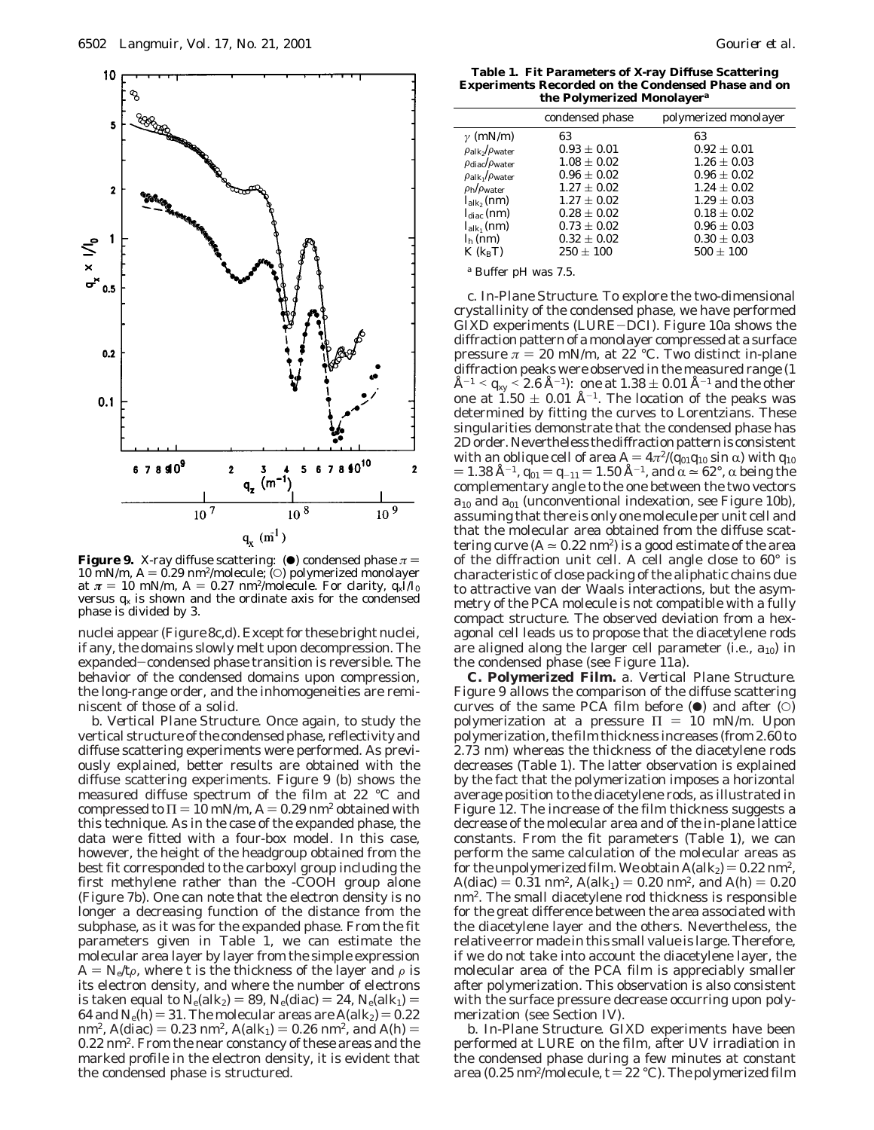

**Figure 9.** X-ray diffuse scattering: ( $\bullet$ ) condensed phase  $\pi$  =  $10 \text{ mN/m}$ ,  $A = 0.29 \text{ nm}^2/\text{molecule}$ ; (O) polymerized monolayer at  $\pi = 10$  mN/m,  $A = 0.27$  nm<sup>2</sup>/molecule. For clarity,  $q_x I/I_0$ versus  $q_x$  is shown and the ordinate axis for the condensed phase is divided by 3.

nuclei appear (Figure 8c,d). Except for these bright nuclei, if any, the domains slowly melt upon decompression. The expanded-condensed phase transition is reversible. The behavior of the condensed domains upon compression, the long-range order, and the inhomogeneities are reminiscent of those of a solid.

*b. Vertical Plane Structure.* Once again, to study the vertical structure of the condensed phase, reflectivity and diffuse scattering experiments were performed. As previously explained, better results are obtained with the diffuse scattering experiments. Figure 9 (b) shows the measured diffuse spectrum of the film at 22 °C and compressed to  $\Pi = 10$  mN/m,  $A = 0.29$  nm<sup>2</sup> obtained with this technique. As in the case of the expanded phase, the data were fitted with a four-box model. In this case, however, the height of the headgroup obtained from the best fit corresponded to the carboxyl group including the first methylene rather than the -COOH group alone (Figure 7b). One can note that the electron density is no longer a decreasing function of the distance from the subphase, as it was for the expanded phase. From the fit parameters given in Table 1, we can estimate the molecular area layer by layer from the simple expression  $A = N_e/t\rho$ , where *t* is the thickness of the layer and  $\rho$  is its electron density, and where the number of electrons is taken equal to  $N_e(alk_2) = 89$ ,  $N_e(dia) = 24$ ,  $N_e(alk_1) =$ 64 and  $N_e(h) = 31$ . The molecular areas are  $A(alk_2) = 0.22$ nm<sup>2</sup>,  $A$ (diac) = 0.23 nm<sup>2</sup>,  $A$ (alk<sub>1</sub>) = 0.26 nm<sup>2</sup>, and  $A$ (h) = 0.22 nm2. From the near constancy of these areas and the marked profile in the electron density, it is evident that the condensed phase is structured.

**Table 1. Fit Parameters of X-ray Diffuse Scattering Experiments Recorded on the Condensed Phase and on the Polymerized Monolayer***<sup>a</sup>*

|                                         | condensed phase | polymerized monolayer |
|-----------------------------------------|-----------------|-----------------------|
| $\gamma$ (mN/m)                         | 63              | 63                    |
| $\rho_{\rm alk_2}/\rho_{\rm water}$     | $0.93 \pm 0.01$ | $0.92 \pm 0.01$       |
| $\rho_{\text{dia}}/\rho_{\text{water}}$ | $1.08 \pm 0.02$ | $1.26 \pm 0.03$       |
| $\rho_{\rm alk_1}/\rho_{\rm water}$     | $0.96 \pm 0.02$ | $0.96 \pm 0.02$       |
| $\rho_{\rm h}/\rho_{\rm water}$         | $1.27 \pm 0.02$ | $1.24 \pm 0.02$       |
| $l_{\rm alk_2}(nm)$                     | $1.27 \pm 0.02$ | $1.29 \pm 0.03$       |
| $l_{\text{diag}}$ (nm)                  | $0.28 \pm 0.02$ | $0.18 \pm 0.02$       |
| $l_{\rm alk}$ (nm)                      | $0.73 \pm 0.02$ | $0.96 \pm 0.03$       |
| $h_{h}$ (nm)                            | $0.32 \pm 0.02$ | $0.30 \pm 0.03$       |
| $K(k_{\rm B}T)$                         | $250 \pm 100$   | $500 \pm 100$         |
|                                         |                 |                       |

*<sup>a</sup>* Buffer pH was 7.5.

*c. In-Plane Structure.* To explore the two-dimensional crystallinity of the condensed phase, we have performed GIXD experiments (LURE-DCI). Figure 10a shows the diffraction pattern of a monolayer compressed at a surface pressure  $\pi = 20$  mN/m, at 22 °C. Two distinct in-plane diffraction peaks were observed in the measured range (1  $\rm \AA^{-1}$  <  $q_{xy}$  < 2.6 Å<sup>-1</sup>): one at 1.38  $\pm$  0.01 Å<sup>-1</sup> and the other one at  $1.50 \pm 0.01$  Å<sup>-1</sup>. The location of the peaks was determined by fitting the curves to Lorentzians. These singularities demonstrate that the condensed phase has 2D order. Nevertheless the diffraction pattern is consistent with an oblique cell of area  $A = 4π<sup>2</sup>/(q<sub>01</sub>q<sub>10</sub> sin α)$  with  $q<sub>10</sub>$  $= 1.38$  Å<sup>-1</sup>,  $q_{01} = q_{-11} = 1.50$  Å<sup>-1</sup>, and  $\alpha \approx 62^{\circ}$ ,  $\alpha$  being the complementary angle to the one between the two vectors *a*<sup>10</sup> and *a*<sup>01</sup> (unconventional indexation, see Figure 10b), assuming that there is only one molecule per unit cell and that the molecular area obtained from the diffuse scattering curve  $(A \approx 0.22 \text{ nm}^2)$  is a good estimate of the area of the diffraction unit cell. A cell angle close to 60° is characteristic of close packing of the aliphatic chains due to attractive van der Waals interactions, but the asymmetry of the PCA molecule is not compatible with a fully compact structure. The observed deviation from a hexagonal cell leads us to propose that the diacetylene rods are aligned along the larger cell parameter (i.e., *a*10) in the condensed phase (see Figure 11a).

**C. Polymerized Film.** *a. Vertical Plane Structure.* Figure 9 allows the comparison of the diffuse scattering curves of the same PCA film before  $(\bullet)$  and after  $(\circ)$ polymerization at a pressure  $\Pi = 10$  mN/m. Upon polymerization, the film thickness increases (from 2.60 to 2.73 nm) whereas the thickness of the diacetylene rods decreases (Table 1). The latter observation is explained by the fact that the polymerization imposes a horizontal average position to the diacetylene rods, as illustrated in Figure 12. The increase of the film thickness suggests a decrease of the molecular area and of the in-plane lattice constants. From the fit parameters (Table 1), we can perform the same calculation of the molecular areas as for the unpolymerized film. We obtain  $A(alk_2) = 0.22$  nm<sup>2</sup>,  $A(\text{dia}) = 0.31 \text{ nm}^2$ ,  $A(\text{alk}_1) = 0.20 \text{ nm}^2$ , and  $A(\text{h}) = 0.20$ nm2. The small diacetylene rod thickness is responsible for the great difference between the area associated with the diacetylene layer and the others. Nevertheless, the relative error made in this small value is large. Therefore, if we do not take into account the diacetylene layer, the molecular area of the PCA film is appreciably smaller after polymerization. This observation is also consistent with the surface pressure decrease occurring upon polymerization (see Section IV).

*b. In-Plane Structure.* GIXD experiments have been performed at LURE on the film, after UV irradiation in the condensed phase during a few minutes at constant area (0.25 nm<sup>2</sup>/molecule,  $t = 22$  °C). The polymerized film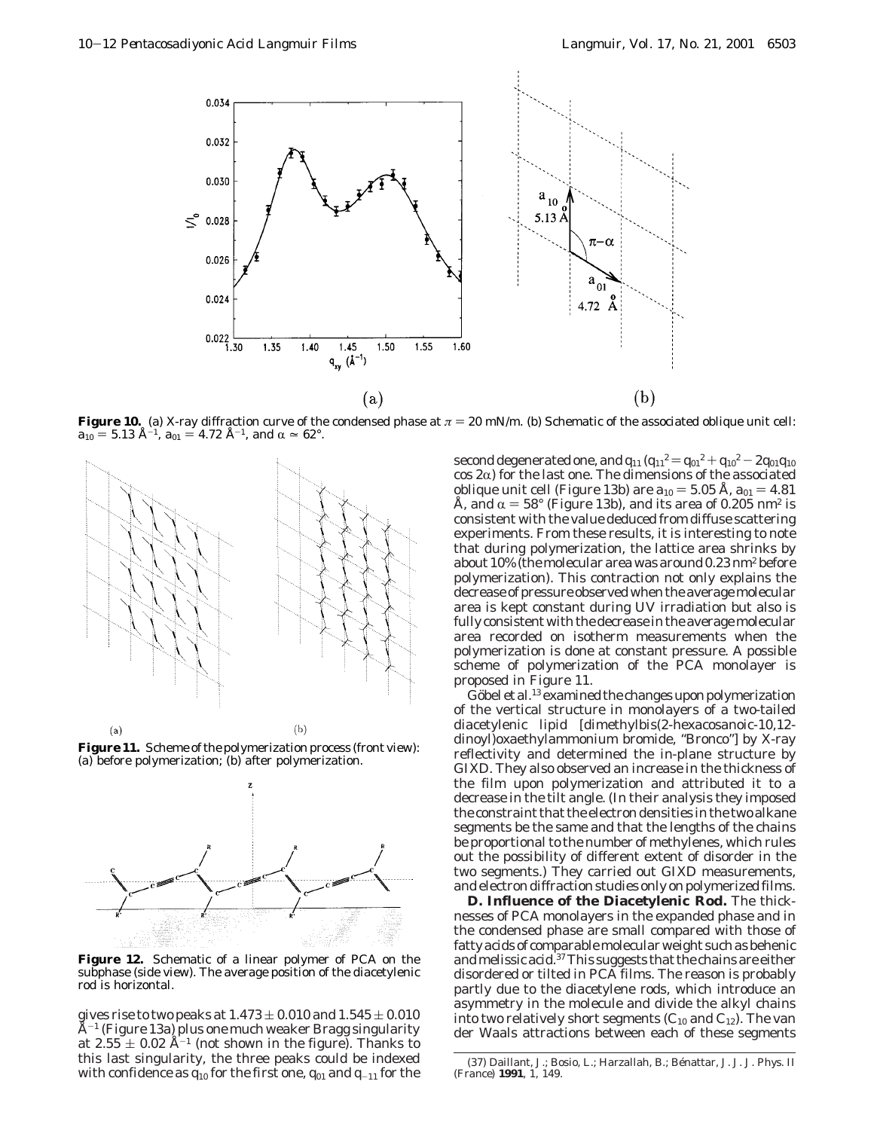

**Figure 10.** (a) X-ray diffraction curve of the condensed phase at  $\pi = 20$  mN/m. (b) Schematic of the associated oblique unit cell:  $a_{10} = 5.13$  Å<sup>-1</sup>,  $a_{01} = 4.72$  Å<sup>-1</sup>, and  $\alpha \approx 62^{\circ}$ .



**Figure 11.** Scheme of the polymerization process (front view): (a) before polymerization; (b) after polymerization.



**Figure 12.** Schematic of a linear polymer of PCA on the subphase (side view). The average position of the diacetylenic rod is horizontal.

gives rise to two peaks at  $1.473 \pm 0.010$  and  $1.545 \pm 0.010$  $\AA^{-1}$  (Figure 13a) plus one much weaker Bragg singularity at  $2.55 \pm 0.02$  Å<sup>-1</sup> (not shown in the figure). Thanks to this last singularity, the three peaks could be indexed with confidence as  $q_{10}$  for the first one,  $q_{01}$  and  $q_{-11}$  for the second degenerated one, and  $q_{11} (q_{11}^2 = q_{01}^2 + q_{10}^2 - 2 q_{01} q_{10}^2)$  $\cos 2\alpha$ ) for the last one. The dimensions of the associated oblique unit cell (Figure 13b) are  $a_{10} = 5.05$  Å,  $a_{01} = 4.81$ Å, and  $\alpha = 58^{\circ}$  (Figure 13b), and its area of 0.205 nm<sup>2</sup> is consistent with the value deduced from diffuse scattering experiments. From these results, it is interesting to note that during polymerization, the lattice area shrinks by about 10% (the molecular area was around 0.23 nm2 before polymerization). This contraction not only explains the decrease of pressure observed when the average molecular area is kept constant during UV irradiation but also is fully consistent with the decrease in the average molecular area recorded on isotherm measurements when the polymerization is done at constant pressure. A possible scheme of polymerization of the PCA monolayer is proposed in Figure 11.

Göbel et al.<sup>13</sup> examined the changes upon polymerization of the vertical structure in monolayers of a two-tailed diacetylenic lipid [dimethylbis(2-hexacosanoic-10,12 dinoyl)oxaethylammonium bromide, "Bronco"] by X-ray reflectivity and determined the in-plane structure by GIXD. They also observed an increase in the thickness of the film upon polymerization and attributed it to a decrease in the tilt angle. (In their analysis they imposed the constraint that the electron densities in the two alkane segments be the same and that the lengths of the chains be proportional to the number of methylenes, which rules out the possibility of different extent of disorder in the two segments.) They carried out GIXD measurements, and electron diffraction studies only on polymerized films.

**D. Influence of the Diacetylenic Rod.** The thicknesses of PCA monolayers in the expanded phase and in the condensed phase are small compared with those of fatty acids of comparable molecular weight such as behenic and melissic acid.37This suggests that the chains are either disordered or tilted in PCA films. The reason is probably partly due to the diacetylene rods, which introduce an asymmetry in the molecule and divide the alkyl chains into two relatively short segments  $(C_{10}$  and  $C_{12}$ ). The van der Waals attractions between each of these segments

<sup>(37)</sup> Daillant, J.; Bosio, L.; Harzallah, B.; Be´nattar, J. J. *J. Phys. II (France)* **1991**, *1*, 149.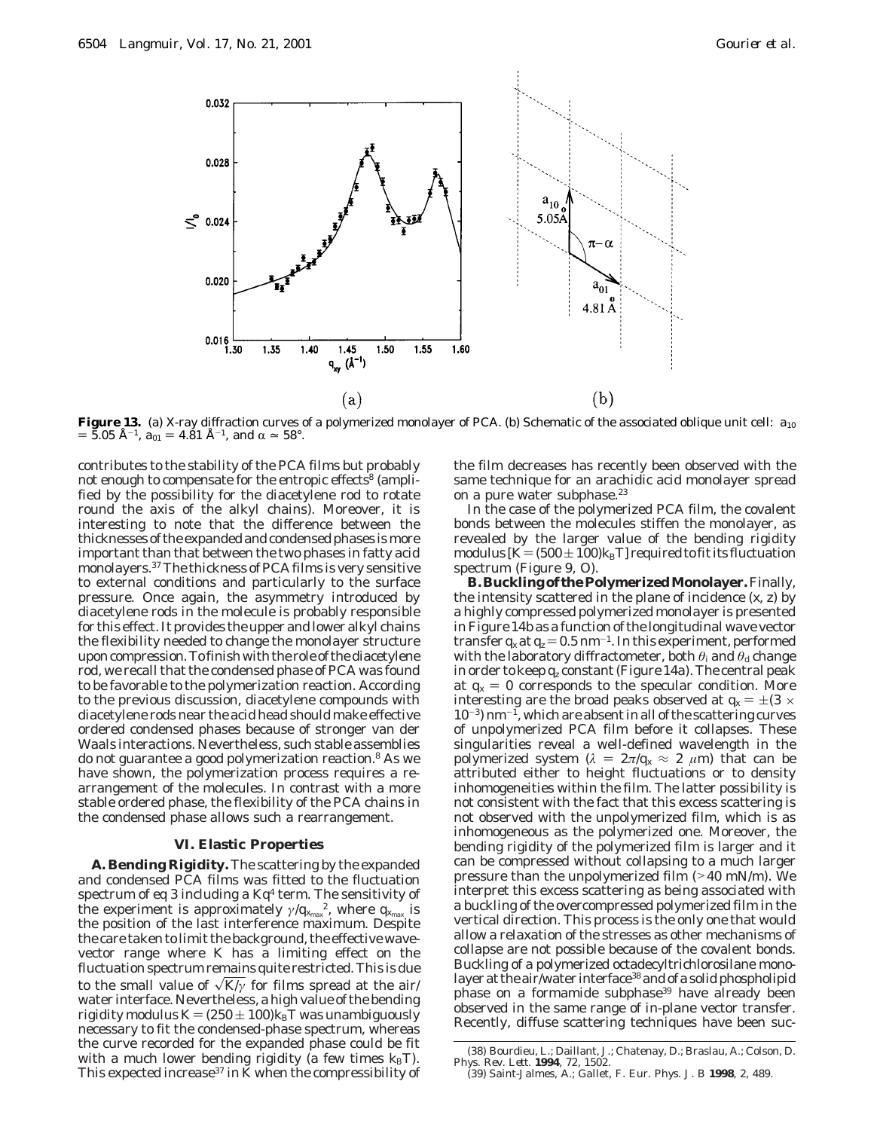

**Figure 13.** (a) X-ray diffraction curves of a polymerized monolayer of PCA. (b) Schematic of the associated oblique unit cell:  $a_{10}$  $=$  5.05 Å<sup>-1</sup>,  $a_{01} = 4.\dot{8}1$  Å<sup>-1</sup>, and  $\alpha \approx 58^\circ$ .

contributes to the stability of the PCA films but probably not enough to compensate for the entropic effects<sup>8</sup> (amplified by the possibility for the diacetylene rod to rotate round the axis of the alkyl chains). Moreover, it is interesting to note that the difference between the thicknesses of the expanded and condensed phases is more important than that between the two phases in fatty acid monolayers.37The thickness of PCA films is very sensitive to external conditions and particularly to the surface pressure. Once again, the asymmetry introduced by diacetylene rods in the molecule is probably responsible for this effect. It provides the upper and lower alkyl chains the flexibility needed to change the monolayer structure upon compression. To finish with the role of the diacetylene rod, we recall that the condensed phase of PCA was found to be favorable to the polymerization reaction. According to the previous discussion, diacetylene compounds with diacetylene rods near the acid head should make effective ordered condensed phases because of stronger van der Waals interactions. Nevertheless, such stable assemblies do not guarantee a good polymerization reaction.<sup>8</sup> As we have shown, the polymerization process requires a rearrangement of the molecules. In contrast with a more stable ordered phase, the flexibility of the PCA chains in the condensed phase allows such a rearrangement.

## **VI. Elastic Properties**

**A. Bending Rigidity.** The scattering by the expanded and condensed PCA films was fitted to the fluctuation spectrum of eq 3 including a *Kq*<sup>4</sup> term. The sensitivity of the experiment is approximately  $\gamma / q_{x_{\rm max}}^2$ , where  $q_{x_{\rm max}}$  is the position of the last interference maximum. Despite the care taken to limit the background, the effective wavevector range where *K* has a limiting effect on the fluctuation spectrum remains quite restricted. This is due to the small value of  $\sqrt{K/\gamma}$  for films spread at the air/ water interface. Nevertheless, a high value of the bending rigidity modulus  $K = (250 \pm 100) k_B T$  was unambiguously necessary to fit the condensed-phase spectrum, whereas the curve recorded for the expanded phase could be fit with a much lower bending rigidity (a few times  $k_B T$ ). This expected increase<sup>37</sup> in  $\bar{K}$  when the compressibility of

the film decreases has recently been observed with the same technique for an arachidic acid monolayer spread on a pure water subphase.<sup>23</sup>

In the case of the polymerized PCA film, the covalent bonds between the molecules stiffen the monolayer, as revealed by the larger value of the bending rigidity modulus  $[K=(500\pm100)k_BT]$  required to fit its fluctuation spectrum (Figure 9, O).

**B.BucklingofthePolymerizedMonolayer.**Finally, the intensity scattered in the plane of incidence (*x*, *z*) by a highly compressed polymerized monolayer is presented in Figure 14b as a function of the longitudinal wave vector transfer  $q_x$  at  $q_z = 0.5$  nm<sup>-1</sup>. In this experiment, performed with the laboratory diffractometer, both *θ*<sub>i</sub> and *θ*<sub>d</sub> change in order to keep *qz* constant (Figure 14a). The central peak at  $q_x = 0$  corresponds to the specular condition. More interesting are the broad peaks observed at  $q_x = \pm (3 \times$  $10^{-3}$ ) nm<sup>-1</sup>, which are absent in all of the scattering curves of unpolymerized PCA film before it collapses. These singularities reveal a well-defined wavelength in the polymerized system ( $\lambda = 2\pi/q_x \approx 2 \mu m$ ) that can be attributed either to height fluctuations or to density inhomogeneities within the film. The latter possibility is not consistent with the fact that this excess scattering is not observed with the unpolymerized film, which is as inhomogeneous as the polymerized one. Moreover, the bending rigidity of the polymerized film is larger and it can be compressed without collapsing to a much larger pressure than the unpolymerized film (>40 mN/m). We interpret this excess scattering as being associated with a buckling of the overcompressed polymerized film in the vertical direction. This process is the only one that would allow a relaxation of the stresses as other mechanisms of collapse are not possible because of the covalent bonds. Buckling of a polymerized octadecyltrichlorosilane monolayer at the air/water interface<sup>38</sup> and of a solid phospholipid phase on a formamide subphase<sup>39</sup> have already been observed in the same range of in-plane vector transfer. Recently, diffuse scattering techniques have been suc-

<sup>(38)</sup> Bourdieu, L.; Daillant, J.; Chatenay, D.; Braslau, A.; Colson, D. *Phys. Rev. Lett.* **1994**, *72*, 1502. (39) Saint-Jalmes, A.; Gallet, F. *Eur. Phys. J. B* **1998**, *2*, 489.